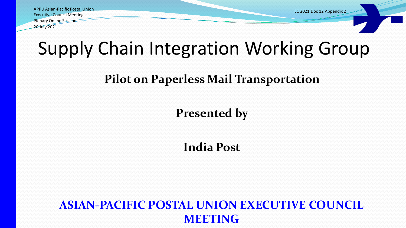APPU Asian-Pacific Postal Union Executive Council Meeting Plenary Online Session 20 July 2021

EC 2021 Doc 12 Appendix 2

## Supply Chain Integration Working Group

#### **Pilot on Paperless Mail Transportation**

#### **Presented by**

#### **India Post**

#### **ASIAN-PACIFIC POSTAL UNION EXECUTIVE COUNCIL MEETING**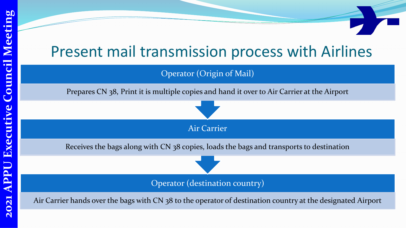## Present mail transmission process with Airlines

#### Operator (Origin of Mail)

Prepares CN 38, Print it is multiple copies and hand it over to Air Carrier at the Airport

Air Carrier

Receives the bags along with CN 38 copies, loads the bags and transports to destination

Operator (destination country)

Air Carrier hands over the bags with CN 38 to the operator of destination country at the designated Airport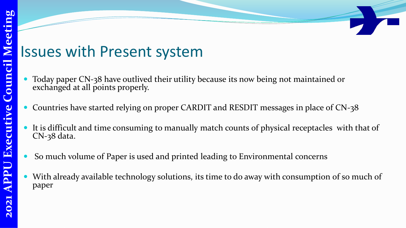### Issues with Present system

- Today paper CN-38 have outlived their utility because its now being not maintained or exchanged at all points properly.
- Countries have started relying on proper CARDIT and RESDIT messages in place of CN-38
- It is difficult and time consuming to manually match counts of physical receptacles with that of CN-38 data.
- So much volume of Paper is used and printed leading to Environmental concerns
- With already available technology solutions, its time to do away with consumption of so much of paper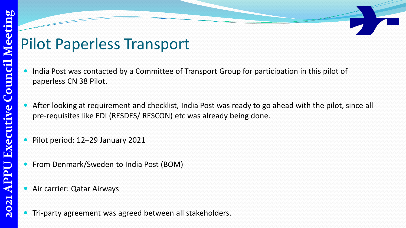## Pilot Paperless Transport

- India Post was contacted by a Committee of Transport Group for participation in this pilot of paperless CN 38 Pilot.
- After looking at requirement and checklist, India Post was ready to go ahead with the pilot, since all pre-requisites like EDI (RESDES/ RESCON) etc was already being done.
- Pilot period: 12–29 January 2021
- From Denmark/Sweden to India Post (BOM)
- Air carrier: Qatar Airways
- Tri-party agreement was agreed between all stakeholders.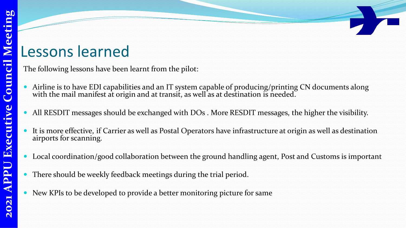## Lessons learned

The following lessons have been learnt from the pilot:

- Airline is to have EDI capabilities and an IT system capable of producing/printing CN documents along with the mail manifest at origin and at transit, as well as at destination is needed.
	- All RESDIT messages should be exchanged with DOs . More RESDIT messages, the higher the visibility.
- It is more effective, if Carrier as well as Postal Operators have infrastructure at origin as well as destination airports for scanning.
- Local coordination/good collaboration between the ground handling agent, Post and Customs is important
- There should be weekly feedback meetings during the trial period.
- New KPIs to be developed to provide a better monitoring picture for same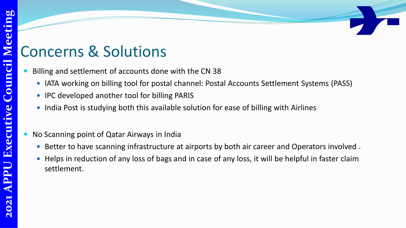## Concerns & Solutions

- Billing and settlement of accounts done with the CN 38
	- IATA working on billing tool for postal channel: Postal Accounts Settlement Systems (PASS)
	- IPC developed another tool for billing PARIS
	- India Post is studying both this available solution for ease of billing with Airlines

#### No Scanning point of Qatar Airways in India

- Better to have scanning infrastructure at airports by both air career and Operators involved .
- Helps in reduction of any loss of bags and in case of any loss, it will be helpful in faster claim settlement.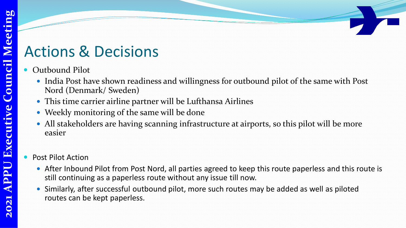## eeting **2021 APPU Executive Council Meeting** N Council Executi PP 021  $\overline{N}$

## Actions & Decisions

- Outbound Pilot
	- India Post have shown readiness and willingness for outbound pilot of the same with Post Nord (Denmark/ Sweden)
	- This time carrier airline partner will be Lufthansa Airlines
	- Weekly monitoring of the same will be done
	- All stakeholders are having scanning infrastructure at airports, so this pilot will be more easier

#### Post Pilot Action

- After Inbound Pilot from Post Nord, all parties agreed to keep this route paperless and this route is still continuing as a paperless route without any issue till now.
- Similarly, after successful outbound pilot, more such routes may be added as well as piloted routes can be kept paperless.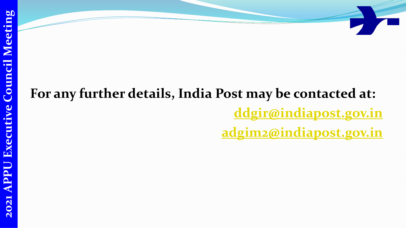## **For any further details, India Post may be contacted at: [ddgir@indiapost.gov.in](mailto:ddgir@indiapost.gov.in) [adgim2@indiapost.gov.in](mailto:adgim2@indiapost.gov.in)**